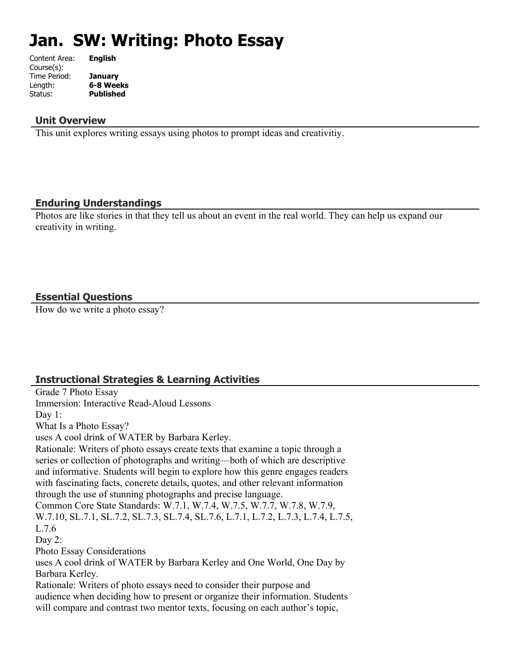# **Jan. SW: Writing: Photo Essay**

| Content Area: | <b>English</b>   |
|---------------|------------------|
| Course(s):    |                  |
| Time Period:  | <b>January</b>   |
| Length:       | 6-8 Weeks        |
| Status:       | <b>Published</b> |
|               |                  |

#### **Unit Overview**

This unit explores writing essays using photos to prompt ideas and creativitiy.

#### **Enduring Understandings**

Photos are like stories in that they tell us about an event in the real world. They can help us expand our creativity in writing.

#### **Essential Questions**

How do we write a photo essay?

#### **Instructional Strategies & Learning Activities**

Grade 7 Photo Essay Immersion: Interactive Read-Aloud Lessons Day 1: What Is a Photo Essay? uses A cool drink of WATER by Barbara Kerley. Rationale: Writers of photo essays create texts that examine a topic through a series or collection of photographs and writing—both of which are descriptive and informative. Students will begin to explore how this genre engages readers with fascinating facts, concrete details, quotes, and other relevant information through the use of stunning photographs and precise language. Common Core State Standards: W.7.1, W.7.4, W.7.5, W.7.7, W.7.8, W.7.9, W.7.10, SL.7.1, SL.7.2, SL.7.3, SL.7.4, SL.7.6, L.7.1, L.7.2, L.7.3, L.7.4, L.7.5, L.7.6 Day 2: Photo Essay Considerations uses A cool drink of WATER by Barbara Kerley and One World, One Day by Barbara Kerley. Rationale: Writers of photo essays need to consider their purpose and audience when deciding how to present or organize their information. Students will compare and contrast two mentor texts, focusing on each author's topic,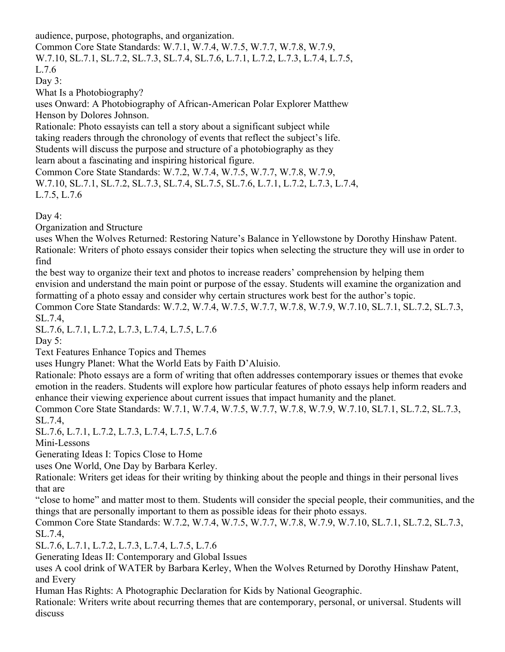audience, purpose, photographs, and organization.

Common Core State Standards: W.7.1, W.7.4, W.7.5, W.7.7, W.7.8, W.7.9, W.7.10, SL.7.1, SL.7.2, SL.7.3, SL.7.4, SL.7.6, L.7.1, L.7.2, L.7.3, L.7.4, L.7.5,

L.7.6

Day 3:

What Is a Photobiography?

uses Onward: A Photobiography of African-American Polar Explorer Matthew Henson by Dolores Johnson.

Rationale: Photo essayists can tell a story about a significant subject while taking readers through the chronology of events that reflect the subject's life. Students will discuss the purpose and structure of a photobiography as they learn about a fascinating and inspiring historical figure.

Common Core State Standards: W.7.2, W.7.4, W.7.5, W.7.7, W.7.8, W.7.9, W.7.10, SL.7.1, SL.7.2, SL.7.3, SL.7.4, SL.7.5, SL.7.6, L.7.1, L.7.2, L.7.3, L.7.4, L.7.5, L.7.6

Day 4:

Organization and Structure

uses When the Wolves Returned: Restoring Nature's Balance in Yellowstone by Dorothy Hinshaw Patent. Rationale: Writers of photo essays consider their topics when selecting the structure they will use in order to find

the best way to organize their text and photos to increase readers' comprehension by helping them envision and understand the main point or purpose of the essay. Students will examine the organization and formatting of a photo essay and consider why certain structures work best for the author's topic. Common Core State Standards: W.7.2, W.7.4, W.7.5, W.7.7, W.7.8, W.7.9, W.7.10, SL.7.1, SL.7.2, SL.7.3,

SL.7.4,

SL.7.6, L.7.1, L.7.2, L.7.3, L.7.4, L.7.5, L.7.6

Day  $5$ :

Text Features Enhance Topics and Themes

uses Hungry Planet: What the World Eats by Faith D'Aluisio.

Rationale: Photo essays are a form of writing that often addresses contemporary issues or themes that evoke emotion in the readers. Students will explore how particular features of photo essays help inform readers and enhance their viewing experience about current issues that impact humanity and the planet.

Common Core State Standards: W.7.1, W.7.4, W.7.5, W.7.7, W.7.8, W.7.9, W.7.10, SL7.1, SL.7.2, SL.7.3, SL.7.4,

SL.7.6, L.7.1, L.7.2, L.7.3, L.7.4, L.7.5, L.7.6

Mini-Lessons

Generating Ideas I: Topics Close to Home

uses One World, One Day by Barbara Kerley.

Rationale: Writers get ideas for their writing by thinking about the people and things in their personal lives that are

"close to home" and matter most to them. Students will consider the special people, their communities, and the things that are personally important to them as possible ideas for their photo essays.

Common Core State Standards: W.7.2, W.7.4, W.7.5, W.7.7, W.7.8, W.7.9, W.7.10, SL.7.1, SL.7.2, SL.7.3, SL.7.4,

SL.7.6, L.7.1, L.7.2, L.7.3, L.7.4, L.7.5, L.7.6

Generating Ideas II: Contemporary and Global Issues

uses A cool drink of WATER by Barbara Kerley, When the Wolves Returned by Dorothy Hinshaw Patent, and Every

Human Has Rights: A Photographic Declaration for Kids by National Geographic.

Rationale: Writers write about recurring themes that are contemporary, personal, or universal. Students will discuss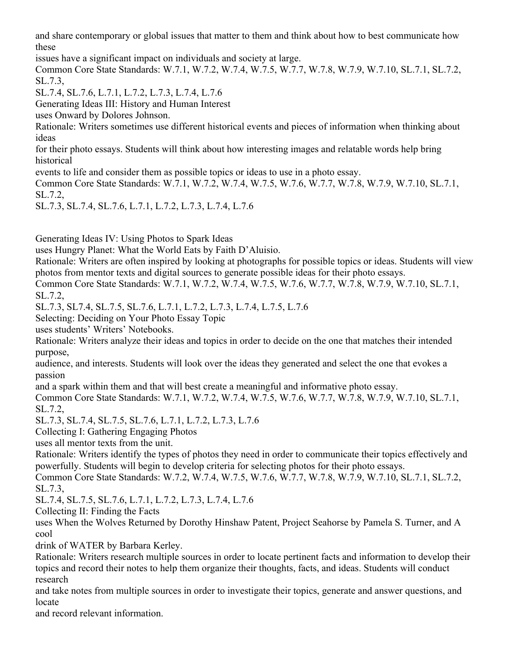and share contemporary or global issues that matter to them and think about how to best communicate how these

issues have a significant impact on individuals and society at large.

Common Core State Standards: W.7.1, W.7.2, W.7.4, W.7.5, W.7.7, W.7.8, W.7.9, W.7.10, SL.7.1, SL.7.2, SL.7.3,

SL.7.4, SL.7.6, L.7.1, L.7.2, L.7.3, L.7.4, L.7.6

Generating Ideas III: History and Human Interest

uses Onward by Dolores Johnson.

Rationale: Writers sometimes use different historical events and pieces of information when thinking about ideas

for their photo essays. Students will think about how interesting images and relatable words help bring historical

events to life and consider them as possible topics or ideas to use in a photo essay.

Common Core State Standards: W.7.1, W.7.2, W.7.4, W.7.5, W.7.6, W.7.7, W.7.8, W.7.9, W.7.10, SL.7.1, SL.7.2,

SL.7.3, SL.7.4, SL.7.6, L.7.1, L.7.2, L.7.3, L.7.4, L.7.6

Generating Ideas IV: Using Photos to Spark Ideas

uses Hungry Planet: What the World Eats by Faith D'Aluisio.

Rationale: Writers are often inspired by looking at photographs for possible topics or ideas. Students will view photos from mentor texts and digital sources to generate possible ideas for their photo essays.

Common Core State Standards: W.7.1, W.7.2, W.7.4, W.7.5, W.7.6, W.7.7, W.7.8, W.7.9, W.7.10, SL.7.1, SL.7.2,

SL.7.3, SL7.4, SL.7.5, SL.7.6, L.7.1, L.7.2, L.7.3, L.7.4, L.7.5, L.7.6

Selecting: Deciding on Your Photo Essay Topic

uses students' Writers' Notebooks.

Rationale: Writers analyze their ideas and topics in order to decide on the one that matches their intended purpose,

audience, and interests. Students will look over the ideas they generated and select the one that evokes a passion

and a spark within them and that will best create a meaningful and informative photo essay.

Common Core State Standards: W.7.1, W.7.2, W.7.4, W.7.5, W.7.6, W.7.7, W.7.8, W.7.9, W.7.10, SL.7.1, SL.7.2,

SL.7.3, SL.7.4, SL.7.5, SL.7.6, L.7.1, L.7.2, L.7.3, L.7.6

Collecting I: Gathering Engaging Photos

uses all mentor texts from the unit.

Rationale: Writers identify the types of photos they need in order to communicate their topics effectively and powerfully. Students will begin to develop criteria for selecting photos for their photo essays.

Common Core State Standards: W.7.2, W.7.4, W.7.5, W.7.6, W.7.7, W.7.8, W.7.9, W.7.10, SL.7.1, SL.7.2, SL.7.3,

SL.7.4, SL.7.5, SL.7.6, L.7.1, L.7.2, L.7.3, L.7.4, L.7.6

Collecting II: Finding the Facts

uses When the Wolves Returned by Dorothy Hinshaw Patent, Project Seahorse by Pamela S. Turner, and A cool

drink of WATER by Barbara Kerley.

Rationale: Writers research multiple sources in order to locate pertinent facts and information to develop their topics and record their notes to help them organize their thoughts, facts, and ideas. Students will conduct research

and take notes from multiple sources in order to investigate their topics, generate and answer questions, and locate

and record relevant information.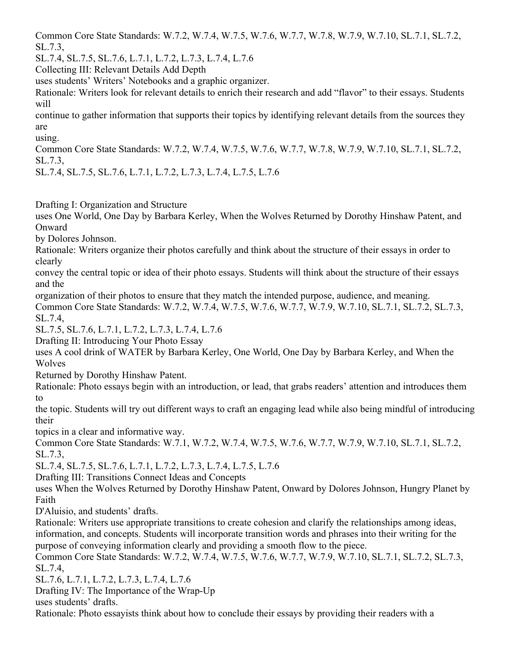Common Core State Standards: W.7.2, W.7.4, W.7.5, W.7.6, W.7.7, W.7.8, W.7.9, W.7.10, SL.7.1, SL.7.2, SL.7.3,

SL.7.4, SL.7.5, SL.7.6, L.7.1, L.7.2, L.7.3, L.7.4, L.7.6

Collecting III: Relevant Details Add Depth

uses students' Writers' Notebooks and a graphic organizer.

Rationale: Writers look for relevant details to enrich their research and add "flavor" to their essays. Students will

continue to gather information that supports their topics by identifying relevant details from the sources they are

using.

Common Core State Standards: W.7.2, W.7.4, W.7.5, W.7.6, W.7.7, W.7.8, W.7.9, W.7.10, SL.7.1, SL.7.2, SL.7.3,

SL.7.4, SL.7.5, SL.7.6, L.7.1, L.7.2, L.7.3, L.7.4, L.7.5, L.7.6

Drafting I: Organization and Structure

uses One World, One Day by Barbara Kerley, When the Wolves Returned by Dorothy Hinshaw Patent, and Onward

by Dolores Johnson.

Rationale: Writers organize their photos carefully and think about the structure of their essays in order to clearly

convey the central topic or idea of their photo essays. Students will think about the structure of their essays and the

organization of their photos to ensure that they match the intended purpose, audience, and meaning.

Common Core State Standards: W.7.2, W.7.4, W.7.5, W.7.6, W.7.7, W.7.9, W.7.10, SL.7.1, SL.7.2, SL.7.3, SL.7.4,

SL.7.5, SL.7.6, L.7.1, L.7.2, L.7.3, L.7.4, L.7.6

Drafting II: Introducing Your Photo Essay

uses A cool drink of WATER by Barbara Kerley, One World, One Day by Barbara Kerley, and When the Wolves

Returned by Dorothy Hinshaw Patent.

Rationale: Photo essays begin with an introduction, or lead, that grabs readers' attention and introduces them to

the topic. Students will try out different ways to craft an engaging lead while also being mindful of introducing their

topics in a clear and informative way.

Common Core State Standards: W.7.1, W.7.2, W.7.4, W.7.5, W.7.6, W.7.7, W.7.9, W.7.10, SL.7.1, SL.7.2, SL.7.3,

SL.7.4, SL.7.5, SL.7.6, L.7.1, L.7.2, L.7.3, L.7.4, L.7.5, L.7.6

Drafting III: Transitions Connect Ideas and Concepts

uses When the Wolves Returned by Dorothy Hinshaw Patent, Onward by Dolores Johnson, Hungry Planet by Faith

D'Aluisio, and students' drafts.

Rationale: Writers use appropriate transitions to create cohesion and clarify the relationships among ideas, information, and concepts. Students will incorporate transition words and phrases into their writing for the purpose of conveying information clearly and providing a smooth flow to the piece.

Common Core State Standards: W.7.2, W.7.4, W.7.5, W.7.6, W.7.7, W.7.9, W.7.10, SL.7.1, SL.7.2, SL.7.3, SL.7.4,

SL.7.6, L.7.1, L.7.2, L.7.3, L.7.4, L.7.6

Drafting IV: The Importance of the Wrap-Up

uses students' drafts.

Rationale: Photo essayists think about how to conclude their essays by providing their readers with a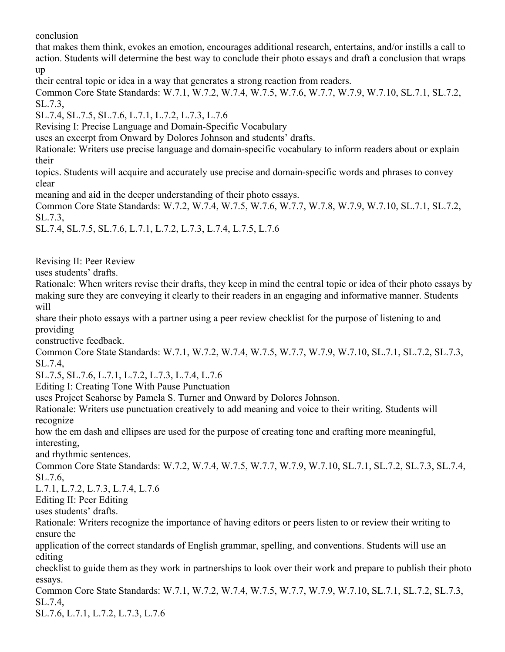conclusion

that makes them think, evokes an emotion, encourages additional research, entertains, and/or instills a call to action. Students will determine the best way to conclude their photo essays and draft a conclusion that wraps up

their central topic or idea in a way that generates a strong reaction from readers.

Common Core State Standards: W.7.1, W.7.2, W.7.4, W.7.5, W.7.6, W.7.7, W.7.9, W.7.10, SL.7.1, SL.7.2, SL.7.3,

SL.7.4, SL.7.5, SL.7.6, L.7.1, L.7.2, L.7.3, L.7.6

Revising I: Precise Language and Domain-Specific Vocabulary

uses an excerpt from Onward by Dolores Johnson and students' drafts.

Rationale: Writers use precise language and domain-specific vocabulary to inform readers about or explain their

topics. Students will acquire and accurately use precise and domain-specific words and phrases to convey clear

meaning and aid in the deeper understanding of their photo essays.

Common Core State Standards: W.7.2, W.7.4, W.7.5, W.7.6, W.7.7, W.7.8, W.7.9, W.7.10, SL.7.1, SL.7.2, SL.7.3,

SL.7.4, SL.7.5, SL.7.6, L.7.1, L.7.2, L.7.3, L.7.4, L.7.5, L.7.6

Revising II: Peer Review

uses students' drafts.

Rationale: When writers revise their drafts, they keep in mind the central topic or idea of their photo essays by making sure they are conveying it clearly to their readers in an engaging and informative manner. Students will

share their photo essays with a partner using a peer review checklist for the purpose of listening to and providing

constructive feedback.

Common Core State Standards: W.7.1, W.7.2, W.7.4, W.7.5, W.7.7, W.7.9, W.7.10, SL.7.1, SL.7.2, SL.7.3, SL.7.4,

SL.7.5, SL.7.6, L.7.1, L.7.2, L.7.3, L.7.4, L.7.6

Editing I: Creating Tone With Pause Punctuation

uses Project Seahorse by Pamela S. Turner and Onward by Dolores Johnson.

Rationale: Writers use punctuation creatively to add meaning and voice to their writing. Students will recognize

how the em dash and ellipses are used for the purpose of creating tone and crafting more meaningful, interesting,

and rhythmic sentences.

Common Core State Standards: W.7.2, W.7.4, W.7.5, W.7.7, W.7.9, W.7.10, SL.7.1, SL.7.2, SL.7.3, SL.7.4, SL.7.6,

L.7.1, L.7.2, L.7.3, L.7.4, L.7.6

Editing II: Peer Editing

uses students' drafts.

Rationale: Writers recognize the importance of having editors or peers listen to or review their writing to ensure the

application of the correct standards of English grammar, spelling, and conventions. Students will use an editing

checklist to guide them as they work in partnerships to look over their work and prepare to publish their photo essays.

Common Core State Standards: W.7.1, W.7.2, W.7.4, W.7.5, W.7.7, W.7.9, W.7.10, SL.7.1, SL.7.2, SL.7.3, SL.7.4,

SL.7.6, L.7.1, L.7.2, L.7.3, L.7.6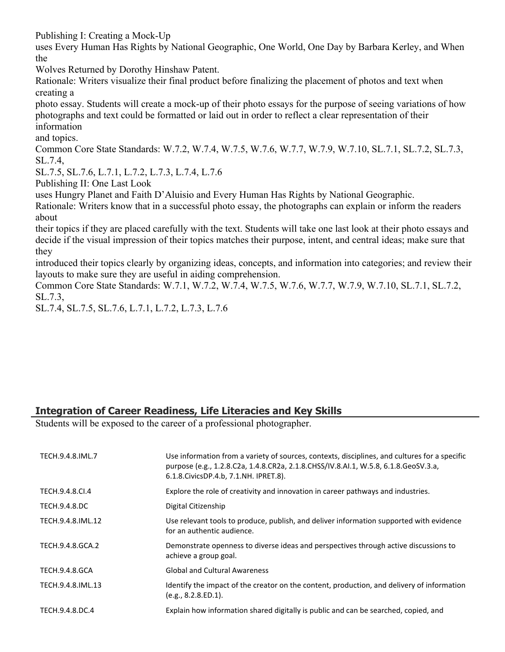Publishing I: Creating a Mock-Up

uses Every Human Has Rights by National Geographic, One World, One Day by Barbara Kerley, and When the

Wolves Returned by Dorothy Hinshaw Patent.

Rationale: Writers visualize their final product before finalizing the placement of photos and text when creating a

photo essay. Students will create a mock-up of their photo essays for the purpose of seeing variations of how photographs and text could be formatted or laid out in order to reflect a clear representation of their information

and topics.

Common Core State Standards: W.7.2, W.7.4, W.7.5, W.7.6, W.7.7, W.7.9, W.7.10, SL.7.1, SL.7.2, SL.7.3, SL.7.4,

SL.7.5, SL.7.6, L.7.1, L.7.2, L.7.3, L.7.4, L.7.6

Publishing II: One Last Look

uses Hungry Planet and Faith D'Aluisio and Every Human Has Rights by National Geographic.

Rationale: Writers know that in a successful photo essay, the photographs can explain or inform the readers about

their topics if they are placed carefully with the text. Students will take one last look at their photo essays and decide if the visual impression of their topics matches their purpose, intent, and central ideas; make sure that they

introduced their topics clearly by organizing ideas, concepts, and information into categories; and review their layouts to make sure they are useful in aiding comprehension.

Common Core State Standards: W.7.1, W.7.2, W.7.4, W.7.5, W.7.6, W.7.7, W.7.9, W.7.10, SL.7.1, SL.7.2, SL.7.3,

SL.7.4, SL.7.5, SL.7.6, L.7.1, L.7.2, L.7.3, L.7.6

## **Integration of Career Readiness, Life Literacies and Key Skills**

Students will be exposed to the career of a professional photographer.

| TECH.9.4.8.IML.7  | Use information from a variety of sources, contexts, disciplines, and cultures for a specific<br>purpose (e.g., 1.2.8.C2a, 1.4.8.CR2a, 2.1.8.CHSS/IV.8.AI.1, W.5.8, 6.1.8.GeoSV.3.a,<br>6.1.8. Civics DP. 4.b, 7.1. NH. IPRET. 8). |
|-------------------|------------------------------------------------------------------------------------------------------------------------------------------------------------------------------------------------------------------------------------|
| TECH.9.4.8.CI.4   | Explore the role of creativity and innovation in career pathways and industries.                                                                                                                                                   |
| TECH.9.4.8.DC     | Digital Citizenship                                                                                                                                                                                                                |
| TECH.9.4.8.IML.12 | Use relevant tools to produce, publish, and deliver information supported with evidence<br>for an authentic audience.                                                                                                              |
| TECH.9.4.8.GCA.2  | Demonstrate openness to diverse ideas and perspectives through active discussions to<br>achieve a group goal.                                                                                                                      |
| TECH.9.4.8.GCA    | <b>Global and Cultural Awareness</b>                                                                                                                                                                                               |
| TECH.9.4.8.IML.13 | Identify the impact of the creator on the content, production, and delivery of information<br>(e.g., 8.2.8.ED.1).                                                                                                                  |
| TECH.9.4.8.DC.4   | Explain how information shared digitally is public and can be searched, copied, and                                                                                                                                                |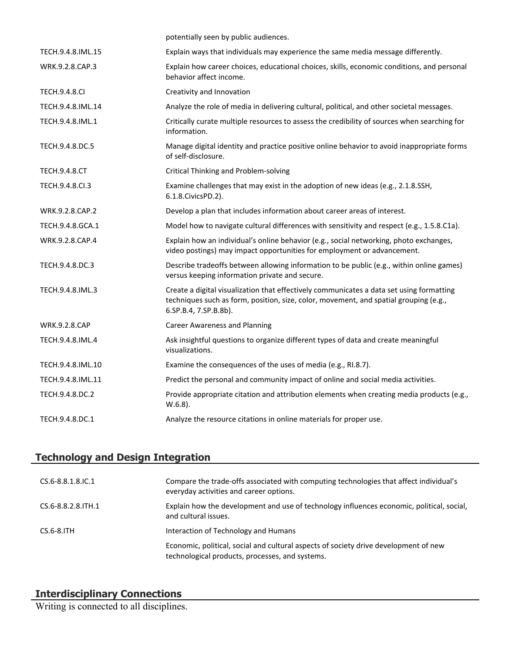|                      | potentially seen by public audiences.                                                                                                                                                                      |
|----------------------|------------------------------------------------------------------------------------------------------------------------------------------------------------------------------------------------------------|
| TECH.9.4.8.IML.15    | Explain ways that individuals may experience the same media message differently.                                                                                                                           |
| WRK.9.2.8.CAP.3      | Explain how career choices, educational choices, skills, economic conditions, and personal<br>behavior affect income.                                                                                      |
| <b>TECH.9.4.8.CI</b> | Creativity and Innovation                                                                                                                                                                                  |
| TECH.9.4.8.IML.14    | Analyze the role of media in delivering cultural, political, and other societal messages.                                                                                                                  |
| TECH.9.4.8.IML.1     | Critically curate multiple resources to assess the credibility of sources when searching for<br>information.                                                                                               |
| TECH.9.4.8.DC.5      | Manage digital identity and practice positive online behavior to avoid inappropriate forms<br>of self-disclosure.                                                                                          |
| <b>TECH.9.4.8.CT</b> | <b>Critical Thinking and Problem-solving</b>                                                                                                                                                               |
| TECH.9.4.8.Cl.3      | Examine challenges that may exist in the adoption of new ideas (e.g., 2.1.8.SSH,<br>6.1.8. Civics PD. 2).                                                                                                  |
| WRK.9.2.8.CAP.2      | Develop a plan that includes information about career areas of interest.                                                                                                                                   |
| TECH.9.4.8.GCA.1     | Model how to navigate cultural differences with sensitivity and respect (e.g., 1.5.8.C1a).                                                                                                                 |
| WRK.9.2.8.CAP.4      | Explain how an individual's online behavior (e.g., social networking, photo exchanges,<br>video postings) may impact opportunities for employment or advancement.                                          |
| TECH.9.4.8.DC.3      | Describe tradeoffs between allowing information to be public (e.g., within online games)<br>versus keeping information private and secure.                                                                 |
| TECH.9.4.8.IML.3     | Create a digital visualization that effectively communicates a data set using formatting<br>techniques such as form, position, size, color, movement, and spatial grouping (e.g.,<br>6.SP.B.4, 7.SP.B.8b). |
| <b>WRK.9.2.8.CAP</b> | <b>Career Awareness and Planning</b>                                                                                                                                                                       |
| TECH.9.4.8.IML.4     | Ask insightful questions to organize different types of data and create meaningful<br>visualizations.                                                                                                      |
| TECH.9.4.8.IML.10    | Examine the consequences of the uses of media (e.g., RI.8.7).                                                                                                                                              |
| TECH.9.4.8.IML.11    | Predict the personal and community impact of online and social media activities.                                                                                                                           |
| TECH.9.4.8.DC.2      | Provide appropriate citation and attribution elements when creating media products (e.g.,<br>$W.6.8$ ).                                                                                                    |
| TECH.9.4.8.DC.1      | Analyze the resource citations in online materials for proper use.                                                                                                                                         |

## **Technology and Design Integration**

| $CS.6 - 8.8.1.8$ . IC. 1 | Compare the trade-offs associated with computing technologies that affect individual's<br>everyday activities and career options.       |
|--------------------------|-----------------------------------------------------------------------------------------------------------------------------------------|
| CS.6-8.8.2.8. TH. 1      | Explain how the development and use of technology influences economic, political, social,<br>and cultural issues.                       |
| $CS.6-8.1TH$             | Interaction of Technology and Humans                                                                                                    |
|                          | Economic, political, social and cultural aspects of society drive development of new<br>technological products, processes, and systems. |

#### **Interdisciplinary Connections**

Writing is connected to all disciplines.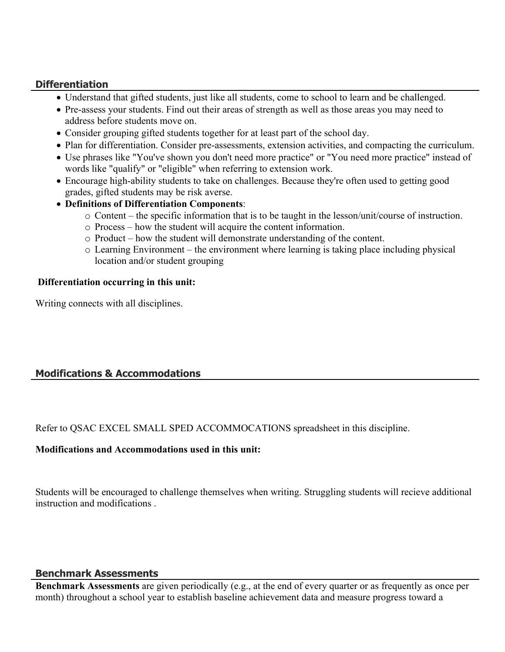#### **Differentiation**

- Understand that gifted students, just like all students, come to school to learn and be challenged.
- Pre-assess your students. Find out their areas of strength as well as those areas you may need to address before students move on.
- Consider grouping gifted students together for at least part of the school day.
- Plan for differentiation. Consider pre-assessments, extension activities, and compacting the curriculum.
- Use phrases like "You've shown you don't need more practice" or "You need more practice" instead of words like "qualify" or "eligible" when referring to extension work.
- Encourage high-ability students to take on challenges. Because they're often used to getting good grades, gifted students may be risk averse.
- **Definitions of Differentiation Components**:
	- o Content the specific information that is to be taught in the lesson/unit/course of instruction.
	- o Process how the student will acquire the content information.
	- o Product how the student will demonstrate understanding of the content.
	- o Learning Environment the environment where learning is taking place including physical location and/or student grouping

#### **Differentiation occurring in this unit:**

Writing connects with all disciplines.

## **Modifications & Accommodations**

Refer to QSAC EXCEL SMALL SPED ACCOMMOCATIONS spreadsheet in this discipline.

#### **Modifications and Accommodations used in this unit:**

Students will be encouraged to challenge themselves when writing. Struggling students will recieve additional instruction and modifications .

#### **Benchmark Assessments**

**Benchmark Assessments** are given periodically (e.g., at the end of every quarter or as frequently as once per month) throughout a school year to establish baseline achievement data and measure progress toward a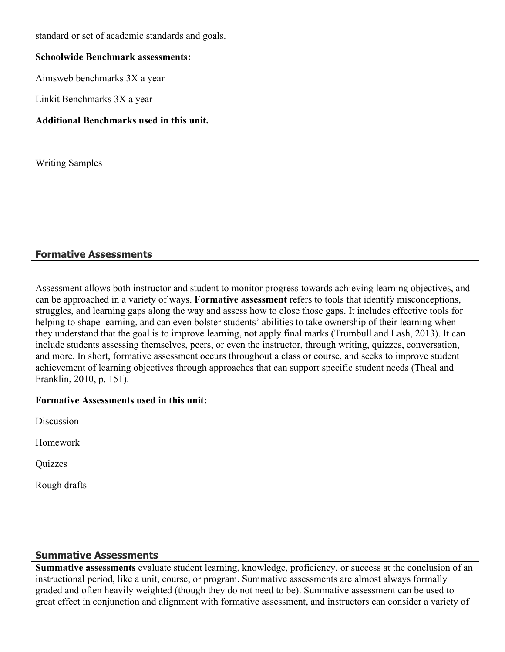standard or set of academic standards and goals.

#### **Schoolwide Benchmark assessments:**

Aimsweb benchmarks 3X a year

Linkit Benchmarks 3X a year

#### **Additional Benchmarks used in this unit.**

Writing Samples

#### **Formative Assessments**

Assessment allows both instructor and student to monitor progress towards achieving learning objectives, and can be approached in a variety of ways. **Formative assessment** refers to tools that identify misconceptions, struggles, and learning gaps along the way and assess how to close those gaps. It includes effective tools for helping to shape learning, and can even bolster students' abilities to take ownership of their learning when they understand that the goal is to improve learning, not apply final marks (Trumbull and Lash, 2013). It can include students assessing themselves, peers, or even the instructor, through writing, quizzes, conversation, and more. In short, formative assessment occurs throughout a class or course, and seeks to improve student achievement of learning objectives through approaches that can support specific student needs (Theal and Franklin, 2010, p. 151).

#### **Formative Assessments used in this unit:**

Discussion

Homework

Quizzes

Rough drafts

#### **Summative Assessments**

**Summative assessments** evaluate student learning, knowledge, proficiency, or success at the conclusion of an instructional period, like a unit, course, or program. Summative assessments are almost always formally graded and often heavily weighted (though they do not need to be). Summative assessment can be used to great effect in conjunction and alignment with formative assessment, and instructors can consider a variety of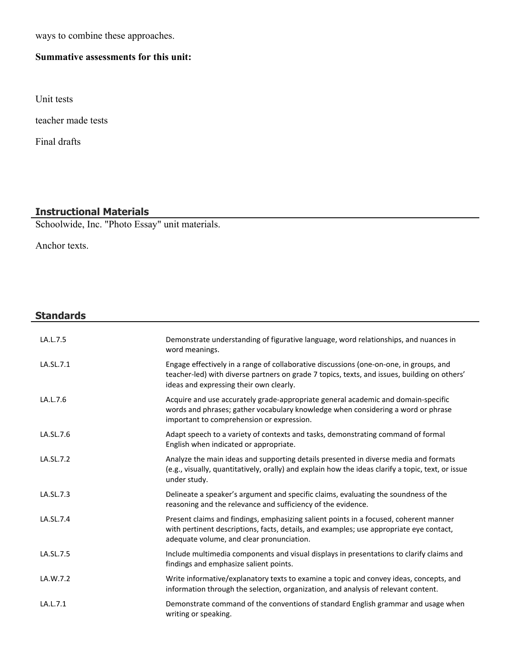ways to combine these approaches.

## **Summative assessments for this unit:**

Unit tests

teacher made tests

Final drafts

## **Instructional Materials**

Schoolwide, Inc. "Photo Essay" unit materials.

Anchor texts.

### **Standards**

| LA.L.7.5  | Demonstrate understanding of figurative language, word relationships, and nuances in<br>word meanings.                                                                                                                            |
|-----------|-----------------------------------------------------------------------------------------------------------------------------------------------------------------------------------------------------------------------------------|
| LA.SL.7.1 | Engage effectively in a range of collaborative discussions (one-on-one, in groups, and<br>teacher-led) with diverse partners on grade 7 topics, texts, and issues, building on others'<br>ideas and expressing their own clearly. |
| LA.L.7.6  | Acquire and use accurately grade-appropriate general academic and domain-specific<br>words and phrases; gather vocabulary knowledge when considering a word or phrase<br>important to comprehension or expression.                |
| LA.SL.7.6 | Adapt speech to a variety of contexts and tasks, demonstrating command of formal<br>English when indicated or appropriate.                                                                                                        |
| LA.SL.7.2 | Analyze the main ideas and supporting details presented in diverse media and formats<br>(e.g., visually, quantitatively, orally) and explain how the ideas clarify a topic, text, or issue<br>under study.                        |
| LA.SL.7.3 | Delineate a speaker's argument and specific claims, evaluating the soundness of the<br>reasoning and the relevance and sufficiency of the evidence.                                                                               |
| LA.SL.7.4 | Present claims and findings, emphasizing salient points in a focused, coherent manner<br>with pertinent descriptions, facts, details, and examples; use appropriate eye contact,<br>adequate volume, and clear pronunciation.     |
| LA.SL.7.5 | Include multimedia components and visual displays in presentations to clarify claims and<br>findings and emphasize salient points.                                                                                                |
| LA.W.7.2  | Write informative/explanatory texts to examine a topic and convey ideas, concepts, and<br>information through the selection, organization, and analysis of relevant content.                                                      |
| LA.L.7.1  | Demonstrate command of the conventions of standard English grammar and usage when<br>writing or speaking.                                                                                                                         |